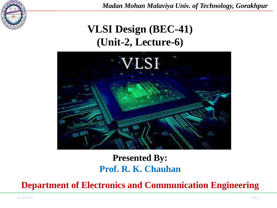

*Madan Mohan Malaviya Univ. of Technology, Gorakhpur*

# **VLSI Design (BEC-41) (Unit-2, Lecture-6)**



### **Presented By: Prof. R. K. Chauhan**

**Department of Electronics and Communication Engineering**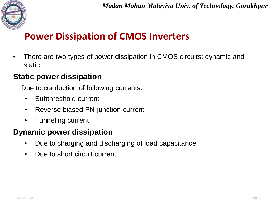

## **Power Dissipation of CMOS Inverters**

• There are two types of power dissipation in CMOS circuits: dynamic and static:

### **Static power dissipation**

Due to conduction of following currents:

- Subthreshold current
- Reverse biased PN-junction current
- Tunneling current

### **Dynamic power dissipation**

- Due to charging and discharging of load capacitance
- Due to short circuit current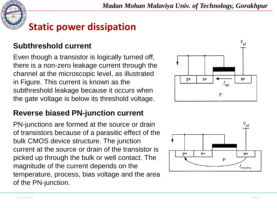

# **Static power dissipation**

#### **Subthreshold current**

Even though a transistor is logically turned off, there is a non-zero leakage current through the channel at the microscopic level, as illustrated in Figure. This current is known as the subthreshold leakage because it occurs when the gate voltage is below its threshold voltage.

#### **Reverse biased PN-junction current**

PN-junctions are formed at the source or drain of transistors because of a parasitic effect of the bulk CMOS device structure. The junction current at the source or drain of the transistor is picked up through the bulk or well contact. The magnitude of the current depends on the temperature, process, bias voltage and the area of the PN-junction.



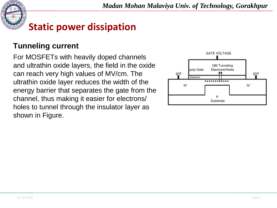

# **Static power dissipation**

#### **Tunneling current**

For MOSFETs with heavily doped channels and ultrathin oxide layers, the field in the oxide can reach very high values of MV/cm. The ultrathin oxide layer reduces the width of the energy barrier that separates the gate from the channel, thus making it easier for electrons/ holes to tunnel through the insulator layer as shown in Figure.

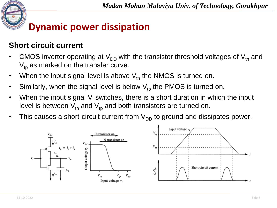

#### **Short circuit current**

- CMOS inverter operating at  $V_{DD}$  with the transistor threshold voltages of  $V_{tn}$  and  $V_{\text{tp}}$  as marked on the transfer curve.
- When the input signal level is above  $V_{tn}$  the NMOS is turned on.
- Similarly, when the signal level is below  $V_{\text{tp}}$  the PMOS is turned on.
- When the input signal  $V_i$  switches, there is a short duration in which the input level is between  $V_{tn}$  and  $V_{tp}$  and both transistors are turned on.
- This causes a short-circuit current from  $V_{DD}$  to ground and dissipates power.

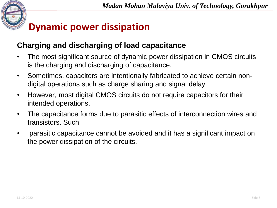

#### **Charging and discharging of load capacitance**

- The most significant source of dynamic power dissipation in CMOS circuits is the charging and discharging of capacitance.
- Sometimes, capacitors are intentionally fabricated to achieve certain nondigital operations such as charge sharing and signal delay.
- However, most digital CMOS circuits do not require capacitors for their intended operations.
- The capacitance forms due to parasitic effects of interconnection wires and transistors. Such
- parasitic capacitance cannot be avoided and it has a significant impact on the power dissipation of the circuits.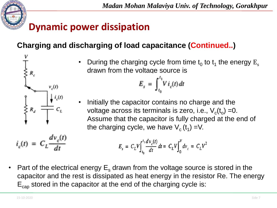

 $v_s(t)$ 

 $i_c(t) = C_L \frac{dv_c(t)}{dt}$ 

### **Charging and discharging of load capacitance (Continued..)**

• During the charging cycle from time  $t_0$  to  $t_1$  the energy  $E_s$ drawn from the voltage source is

$$
E_s = \int_{t_0}^{t_1} V i_c(t) dt
$$

• Initially the capacitor contains no charge and the voltage across its terminals is zero, i.e.,  $\vee_{\text{c}}(t_{\text{o}})$  =0. Assume that the capacitor is fully charged at the end of the charging cycle, we have  $V_c(t_1)$  =V.

$$
E_s = C_L V \int_{t_0}^{t_1} \frac{dv_c(t)}{dt} dt = C_L V \int_0^V dv_c = C_L V^2
$$

• Part of the electrical energy  $E_s$  drawn from the voltage source is stored in the capacitor and the rest is dissipated as heat energy in the resistor Re. The energy  $E_{cap}$  stored in the capacitor at the end of the charging cycle is: